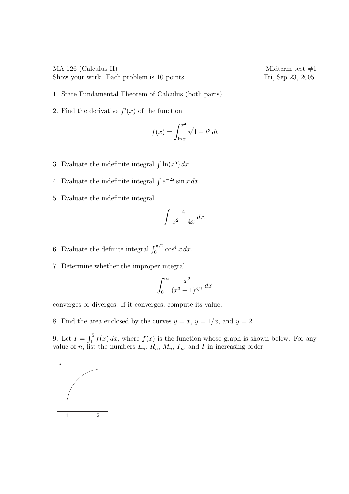MA 126 (Calculus-II) Midterm test  $#1$ Show your work. Each problem is 10 points Fri, Sep 23, 2005

- 1. State Fundamental Theorem of Calculus (both parts).
- 2. Find the derivative  $f'(x)$  of the function

$$
f(x) = \int_{\ln x}^{x^2} \sqrt{1 + t^3} dt
$$

- 3. Evaluate the indefinite integral  $\int \ln(x^5) dx$ .
- 4. Evaluate the indefinite integral  $\int e^{-2x} \sin x \, dx$ .
- 5. Evaluate the indefinite integral

$$
\int \frac{4}{x^2 - 4x} \, dx.
$$

- 6. Evaluate the definite integral  $\int_0^{\pi/2} \cos^4 x \, dx$ .
- 7. Determine whether the improper integral

$$
\int_0^\infty \frac{x^2}{(x^3+1)^{3/2}} \, dx
$$

converges or diverges. If it converges, compute its value.

8. Find the area enclosed by the curves  $y = x$ ,  $y = 1/x$ , and  $y = 2$ .

9. Let  $I = \int_1^5$  $\int_{1}^{5} f(x) dx$ , where  $f(x)$  is the function whose graph is shown below. For any value of n, list the numbers  $L_n$ ,  $R_n$ ,  $M_n$ ,  $T_n$ , and I in increasing order.